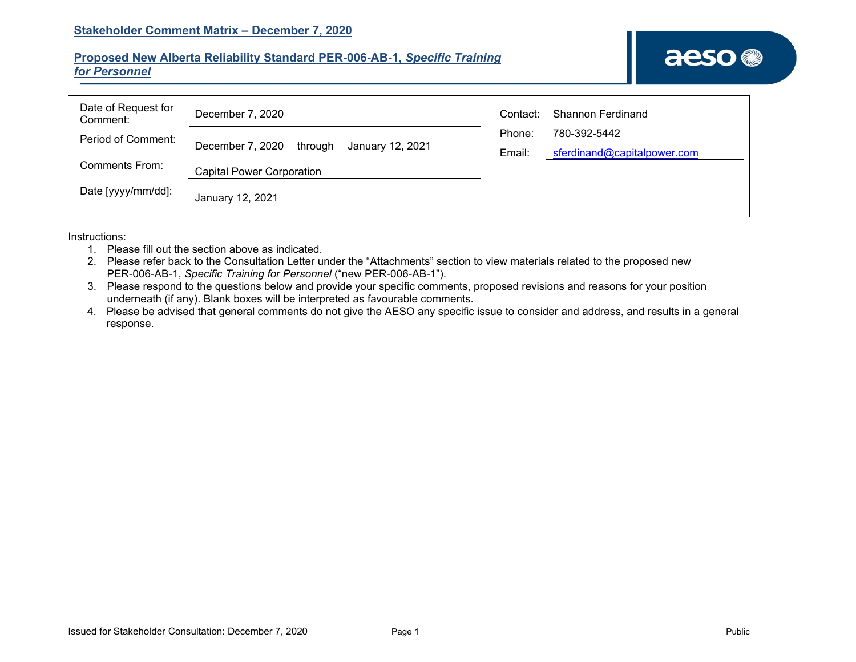## **Proposed New Alberta Reliability Standard PER-006-AB-1,** *Specific Training for Personnel*

| Date of Request for<br>Comment: | December 7, 2020                                | Contact: | Shannon Ferdinand           |
|---------------------------------|-------------------------------------------------|----------|-----------------------------|
| Period of Comment:              |                                                 | Phone:   | 780-392-5442                |
|                                 | December 7, 2020<br>through<br>January 12, 2021 | Email:   | sferdinand@capitalpower.com |
| Comments From:                  | <b>Capital Power Corporation</b>                |          |                             |
| Date [yyyy/mm/dd]:              | January 12, 2021                                |          |                             |

Instructions:

- 1. Please fill out the section above as indicated.
- 2. Please refer back to the Consultation Letter under the "Attachments" section to view materials related to the proposed new PER-006-AB-1, *Specific Training for Personnel* ("new PER-006-AB-1").
- 3. Please respond to the questions below and provide your specific comments, proposed revisions and reasons for your position underneath (if any). Blank boxes will be interpreted as favourable comments.
- 4. Please be advised that general comments do not give the AESO any specific issue to consider and address, and results in a general response.